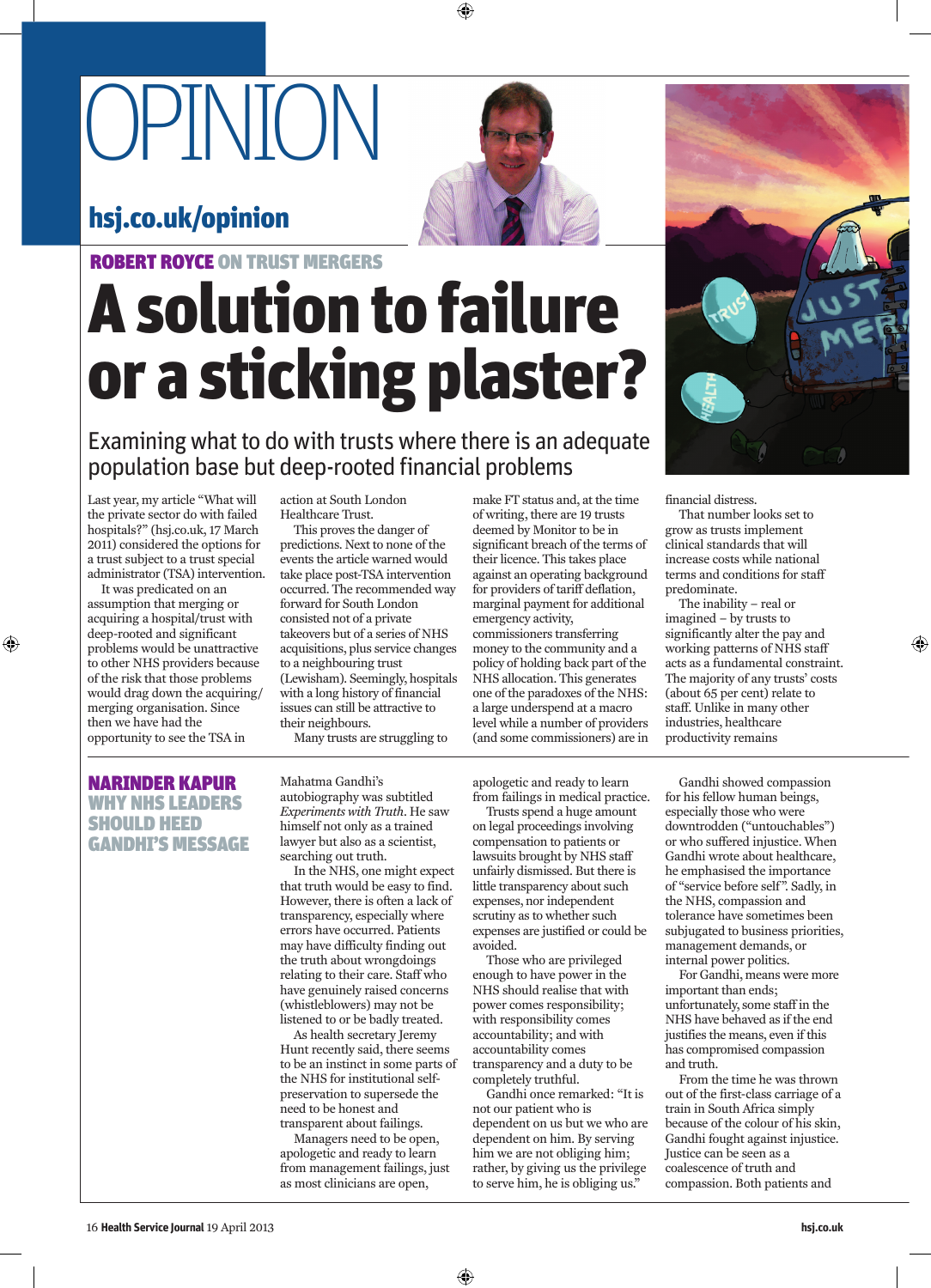## OPINION

## hsj.co.uk/opinion



◈

Examining what to do with trusts where there is an adequate population base but deep-rooted financial problems

Last year, my article "What will the private sector do with failed hospitals?" (hsj.co.uk, 17 March 2011) considered the options for a trust subject to a trust special administrator (TSA) intervention.

It was predicated on an assumption that merging or acquiring a hospital/trust with deep-rooted and significant problems would be unattractive to other NHS providers because of the risk that those problems would drag down the acquiring/ merging organisation. Since then we have had the opportunity to see the TSA in

◈

action at South London Healthcare Trust.

This proves the danger of predictions. Next to none of the events the article warned would take place post-TSA intervention occurred. The recommended way forward for South London consisted not of a private takeovers but of a series of NHS acquisitions, plus service changes to a neighbouring trust (Lewisham). Seemingly, hospitals with a long history of financial issues can still be attractive to their neighbours.

Many trusts are struggling to

autobiography was subtitled

himself not only as a trained lawyer but also as a scientist,

In the NHS, one might expect that truth would be easy to find. However, there is often a lack of transparency, especially where errors have occurred. Patients may have difficulty finding out the truth about wrongdoings relating to their care. Staff who have genuinely raised concerns (whistleblowers) may not be listened to or be badly treated. As health secretary Jeremy Hunt recently said, there seems to be an instinct in some parts of the NHS for institutional selfpreservation to supersede the need to be honest and transparent about failings. Managers need to be open, apologetic and ready to learn from management failings, just as most clinicians are open,

Mahatma Gandhi's

searching out truth.

make FT status and, at the time of writing, there are 19 trusts deemed by Monitor to be in significant breach of the terms of their licence. This takes place against an operating background for providers of tariff deflation, marginal payment for additional emergency activity, commissioners transferring money to the community and a policy of holding back part of the NHS allocation. This generates one of the paradoxes of the NHS: a large underspend at a macro level while a number of providers (and some commissioners) are in

## NARINDER KAPUR WHY NHS LEADERS SHOULD HEED GANDHI'S MESSAGE

*Experiments with Truth*. He saw apologetic and ready to learn from failings in medical practice. Trusts spend a huge amount

on legal proceedings involving compensation to patients or lawsuits brought by NHS staff unfairly dismissed. But there is little transparency about such expenses, nor independent scrutiny as to whether such expenses are justified or could be avoided.

Those who are privileged enough to have power in the NHS should realise that with power comes responsibility; with responsibility comes accountability; and with accountability comes transparency and a duty to be completely truthful.

Gandhi once remarked: "It is not our patient who is dependent on us but we who are dependent on him. By serving him we are not obliging him; rather, by giving us the privilege to serve him, he is obliging us."



financial distress.

That number looks set to grow as trusts implement clinical standards that will increase costs while national terms and conditions for staff predominate.

The inability – real or imagined – by trusts to significantly alter the pay and working patterns of NHS staff acts as a fundamental constraint. The majority of any trusts' costs (about 65 per cent) relate to staff. Unlike in many other industries, healthcare productivity remains

◈

Gandhi showed compassion for his fellow human beings, especially those who were downtrodden ("untouchables") or who suffered injustice. When Gandhi wrote about healthcare, he emphasised the importance of "service before self". Sadly, in the NHS, compassion and tolerance have sometimes been subjugated to business priorities, management demands, or internal power politics.

For Gandhi, means were more important than ends; unfortunately, some staff in the NHS have behaved as if the end justifies the means, even if this has compromised compassion and truth.

From the time he was thrown out of the first-class carriage of a train in South Africa simply because of the colour of his skin, Gandhi fought against injustice. Justice can be seen as a coalescence of truth and compassion. Both patients and

**hsj.co.uk**